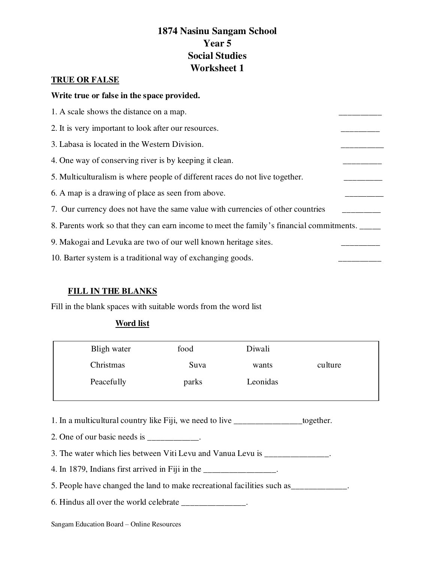# **1874 Nasinu Sangam School Year 5 Social Studies Worksheet 1**

# **TRUE OR FALSE**

#### **Write true or false in the space provided.**

| 1. A scale shows the distance on a map.                                                  |  |  |  |
|------------------------------------------------------------------------------------------|--|--|--|
| 2. It is very important to look after our resources.                                     |  |  |  |
| 3. Labasa is located in the Western Division.                                            |  |  |  |
| 4. One way of conserving river is by keeping it clean.                                   |  |  |  |
| 5. Multiculturalism is where people of different races do not live together.             |  |  |  |
| 6. A map is a drawing of place as seen from above.                                       |  |  |  |
| 7. Our currency does not have the same value with currencies of other countries          |  |  |  |
| 8. Parents work so that they can earn income to meet the family's financial commitments. |  |  |  |
| 9. Makogai and Levuka are two of our well known heritage sites.                          |  |  |  |
| 10. Barter system is a traditional way of exchanging goods.                              |  |  |  |
|                                                                                          |  |  |  |

## **FILL IN THE BLANKS**

Fill in the blank spaces with suitable words from the word list

## **Word list**

| Bligh water | food  | Diwali   |         |
|-------------|-------|----------|---------|
| Christmas   | Suva  | wants    | culture |
| Peacefully  | parks | Leonidas |         |

1. In a multicultural country like Fiji, we need to live \_\_\_\_\_\_\_\_\_\_\_\_\_\_\_\_together.

2. One of our basic needs is \_\_\_\_\_\_\_\_\_\_.

3. The water which lies between Viti Levu and Vanua Levu is \_\_\_\_\_\_\_\_\_\_\_\_\_\_.

4. In 1879, Indians first arrived in Fiji in the  $\frac{1}{2}$  measurement in Fig.

5. People have changed the land to make recreational facilities such as\_\_\_\_\_\_\_\_\_\_\_\_\_.

6. Hindus all over the world celebrate \_\_\_\_\_\_\_\_\_\_\_\_\_\_\_.